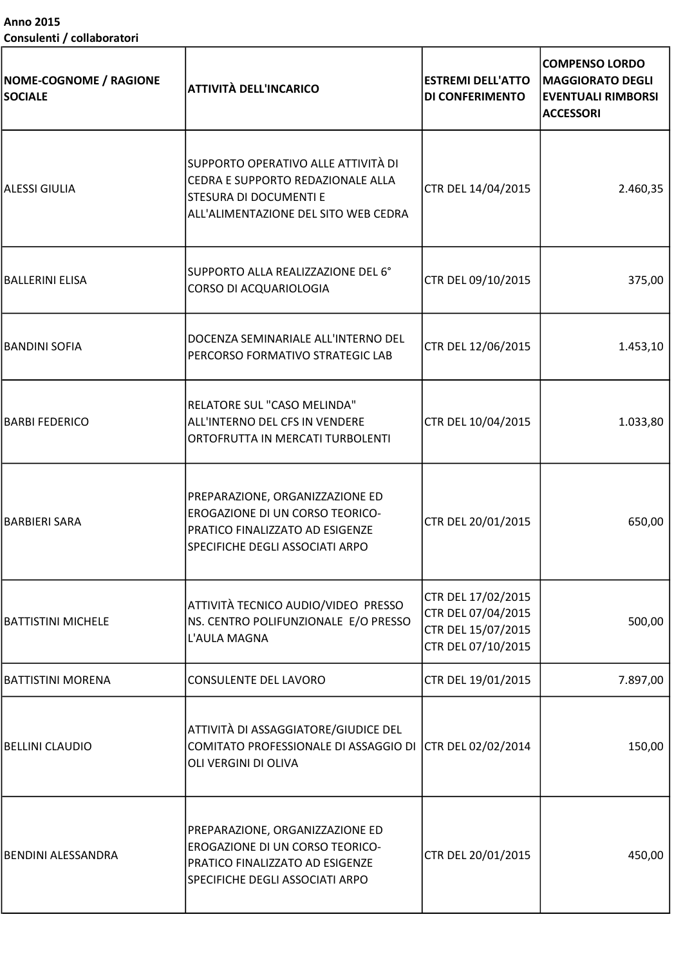Anno 2015 Consulenti / collaboratori

| <b>NOME-COGNOME / RAGIONE</b><br><b>SOCIALE</b> | <b>ATTIVITÀ DELL'INCARICO</b>                                                                                                              | <b>ESTREMI DELL'ATTO</b><br>DI CONFERIMENTO                                          | <b>COMPENSO LORDO</b><br><b>MAGGIORATO DEGLI</b><br><b>EVENTUALI RIMBORSI</b><br><b>ACCESSORI</b> |
|-------------------------------------------------|--------------------------------------------------------------------------------------------------------------------------------------------|--------------------------------------------------------------------------------------|---------------------------------------------------------------------------------------------------|
| <b>ALESSI GIULIA</b>                            | SUPPORTO OPERATIVO ALLE ATTIVITÀ DI<br>CEDRA E SUPPORTO REDAZIONALE ALLA<br>STESURA DI DOCUMENTI E<br>ALL'ALIMENTAZIONE DEL SITO WEB CEDRA | CTR DEL 14/04/2015                                                                   | 2.460,35                                                                                          |
| <b>BALLERINI ELISA</b>                          | SUPPORTO ALLA REALIZZAZIONE DEL 6°<br>CORSO DI ACQUARIOLOGIA                                                                               | CTR DEL 09/10/2015                                                                   | 375,00                                                                                            |
| <b>BANDINI SOFIA</b>                            | DOCENZA SEMINARIALE ALL'INTERNO DEL<br>PERCORSO FORMATIVO STRATEGIC LAB                                                                    | CTR DEL 12/06/2015                                                                   | 1.453,10                                                                                          |
| <b>BARBI FEDERICO</b>                           | RELATORE SUL "CASO MELINDA"<br>ALL'INTERNO DEL CFS IN VENDERE<br>ORTOFRUTTA IN MERCATI TURBOLENTI                                          | CTR DEL 10/04/2015                                                                   | 1.033,80                                                                                          |
| <b>BARBIERI SARA</b>                            | PREPARAZIONE, ORGANIZZAZIONE ED<br>EROGAZIONE DI UN CORSO TEORICO-<br>PRATICO FINALIZZATO AD ESIGENZE<br>SPECIFICHE DEGLI ASSOCIATI ARPO   | CTR DEL 20/01/2015                                                                   | 650,00                                                                                            |
| <b>BATTISTINI MICHELE</b>                       | ATTIVITÀ TECNICO AUDIO/VIDEO PRESSO<br>NS. CENTRO POLIFUNZIONALE E/O PRESSO<br>L'AULA MAGNA                                                | CTR DEL 17/02/2015<br>CTR DEL 07/04/2015<br>CTR DEL 15/07/2015<br>CTR DEL 07/10/2015 | 500,00                                                                                            |
| <b>BATTISTINI MORENA</b>                        | CONSULENTE DEL LAVORO                                                                                                                      | CTR DEL 19/01/2015                                                                   | 7.897,00                                                                                          |
| <b>BELLINI CLAUDIO</b>                          | ATTIVITÀ DI ASSAGGIATORE/GIUDICE DEL<br>COMITATO PROFESSIONALE DI ASSAGGIO DI CTR DEL 02/02/2014<br>OLI VERGINI DI OLIVA                   |                                                                                      | 150,00                                                                                            |
| <b>BENDINI ALESSANDRA</b>                       | PREPARAZIONE, ORGANIZZAZIONE ED<br>EROGAZIONE DI UN CORSO TEORICO-<br>PRATICO FINALIZZATO AD ESIGENZE<br>SPECIFICHE DEGLI ASSOCIATI ARPO   | CTR DEL 20/01/2015                                                                   | 450,00                                                                                            |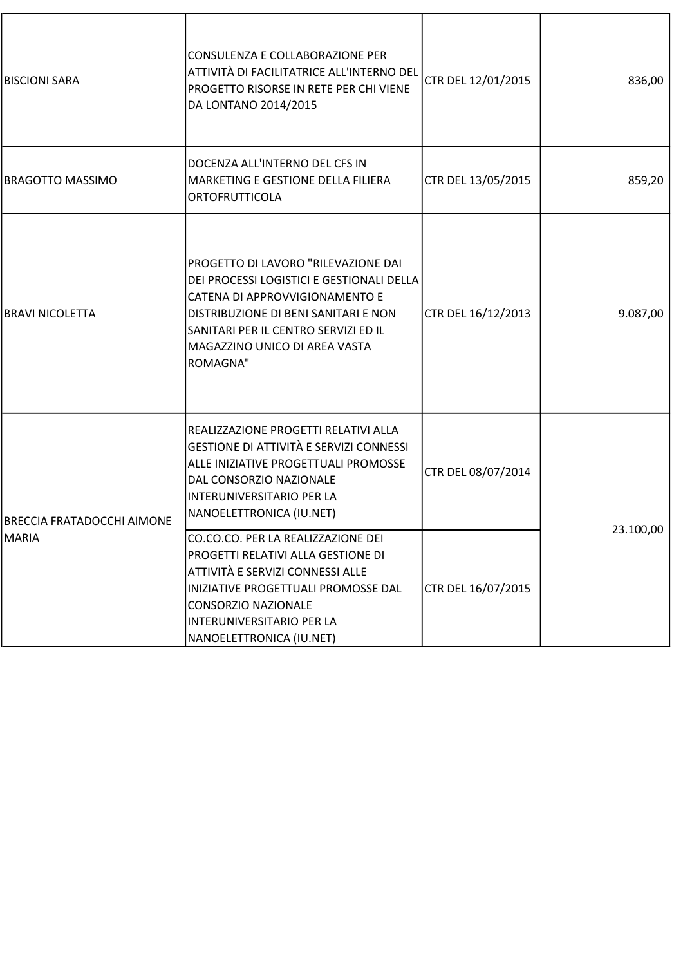| <b>BISCIONI SARA</b>       | CONSULENZA E COLLABORAZIONE PER<br>ATTIVITÀ DI FACILITATRICE ALL'INTERNO DEL<br>PROGETTO RISORSE IN RETE PER CHI VIENE<br>DA LONTANO 2014/2015                                                                                                  | CTR DEL 12/01/2015 | 836,00    |
|----------------------------|-------------------------------------------------------------------------------------------------------------------------------------------------------------------------------------------------------------------------------------------------|--------------------|-----------|
| BRAGOTTO MASSIMO           | DOCENZA ALL'INTERNO DEL CFS IN<br>MARKETING E GESTIONE DELLA FILIERA<br>ORTOFRUTTICOLA                                                                                                                                                          | CTR DEL 13/05/2015 | 859,20    |
| BRAVI NICOLETTA            | PROGETTO DI LAVORO "RILEVAZIONE DAI<br>DEI PROCESSI LOGISTICI E GESTIONALI DELLA<br>CATENA DI APPROVVIGIONAMENTO E<br>DISTRIBUZIONE DI BENI SANITARI E NON<br>SANITARI PER IL CENTRO SERVIZI ED IL<br>MAGAZZINO UNICO DI AREA VASTA<br>ROMAGNA" | CTR DEL 16/12/2013 | 9.087,00  |
| BRECCIA FRATADOCCHI AIMONE | REALIZZAZIONE PROGETTI RELATIVI ALLA<br><b>GESTIONE DI ATTIVITÀ E SERVIZI CONNESSI</b><br>ALLE INIZIATIVE PROGETTUALI PROMOSSE<br>DAL CONSORZIO NAZIONALE<br>INTERUNIVERSITARIO PER LA<br>NANOELETTRONICA (IU.NET)                              | CTR DEL 08/07/2014 |           |
| MARIA                      | CO.CO.CO. PER LA REALIZZAZIONE DEI<br>PROGETTI RELATIVI ALLA GESTIONE DI<br>ATTIVITÀ E SERVIZI CONNESSI ALLE<br>INIZIATIVE PROGETTUALI PROMOSSE DAL<br>CONSORZIO NAZIONALE<br>INTERUNIVERSITARIO PER LA<br>NANOELETTRONICA (IU.NET)             | CTR DEL 16/07/2015 | 23.100,00 |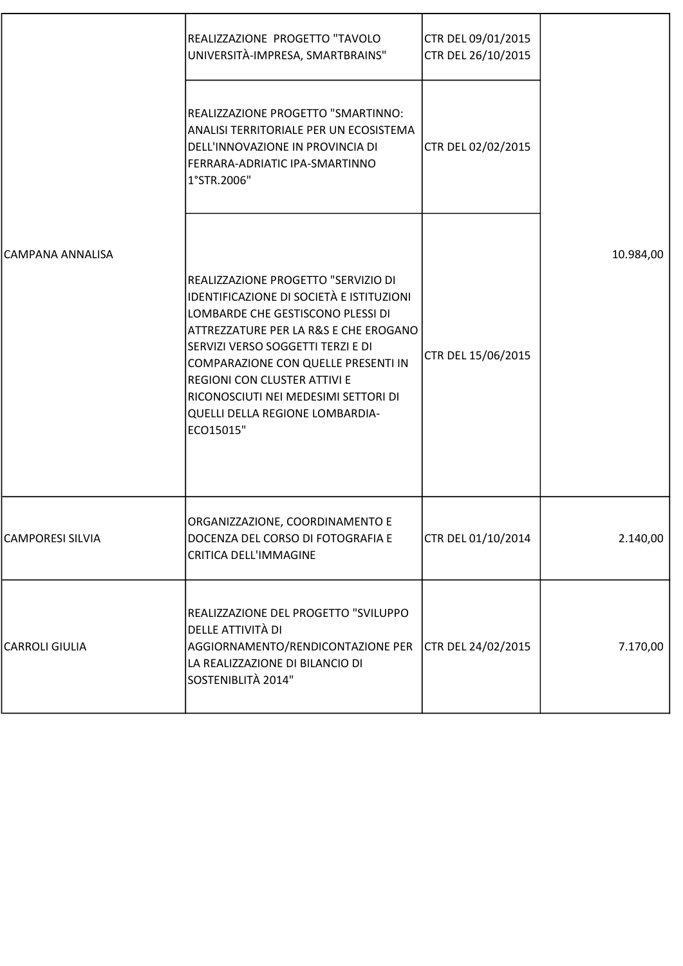| CAMPANA ANNALISA | REALIZZAZIONE PROGETTO "TAVOLO<br>UNIVERSITÀ-IMPRESA, SMARTBRAINS"                                                                                                                                                                                                                                                                                                       | CTR DEL 09/01/2015<br>CTR DEL 26/10/2015 |           |
|------------------|--------------------------------------------------------------------------------------------------------------------------------------------------------------------------------------------------------------------------------------------------------------------------------------------------------------------------------------------------------------------------|------------------------------------------|-----------|
|                  | REALIZZAZIONE PROGETTO "SMARTINNO:<br>ANALISI TERRITORIALE PER UN ECOSISTEMA<br>DELL'INNOVAZIONE IN PROVINCIA DI<br>FERRARA-ADRIATIC IPA-SMARTINNO<br>1°STR.2006"                                                                                                                                                                                                        | CTR DEL 02/02/2015                       |           |
|                  | REALIZZAZIONE PROGETTO "SERVIZIO DI<br>IDENTIFICAZIONE DI SOCIETÀ E ISTITUZIONI<br>LOMBARDE CHE GESTISCONO PLESSI DI<br>ATTREZZATURE PER LA R&S E CHE EROGANO<br>SERVIZI VERSO SOGGETTI TERZI E DI<br>COMPARAZIONE CON QUELLE PRESENTI IN<br><b>REGIONI CON CLUSTER ATTIVI E</b><br>RICONOSCIUTI NEI MEDESIMI SETTORI DI<br>QUELLI DELLA REGIONE LOMBARDIA-<br>ECO15015" | CTR DEL 15/06/2015                       | 10.984,00 |
| CAMPORESI SILVIA | ORGANIZZAZIONE, COORDINAMENTO E<br>DOCENZA DEL CORSO DI FOTOGRAFIA E<br><b>CRITICA DELL'IMMAGINE</b>                                                                                                                                                                                                                                                                     | CTR DEL 01/10/2014                       | 2.140,00  |
| CARROLI GIULIA   | REALIZZAZIONE DEL PROGETTO "SVILUPPO<br>DELLE ATTIVITÀ DI<br>AGGIORNAMENTO/RENDICONTAZIONE PER<br>LA REALIZZAZIONE DI BILANCIO DI<br>SOSTENIBLITÀ 2014"                                                                                                                                                                                                                  | CTR DEL 24/02/2015                       | 7.170,00  |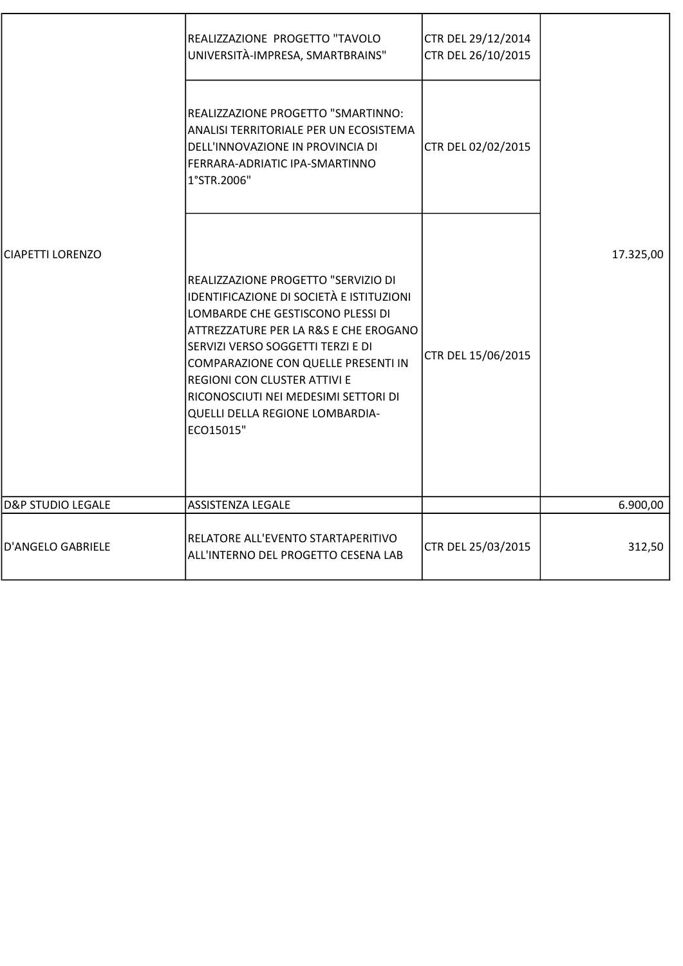|                              | REALIZZAZIONE PROGETTO "TAVOLO<br>UNIVERSITÀ-IMPRESA, SMARTBRAINS"                                                                                                                                                                                                                                                                                                       | CTR DEL 29/12/2014<br>CTR DEL 26/10/2015 |           |
|------------------------------|--------------------------------------------------------------------------------------------------------------------------------------------------------------------------------------------------------------------------------------------------------------------------------------------------------------------------------------------------------------------------|------------------------------------------|-----------|
|                              | REALIZZAZIONE PROGETTO "SMARTINNO:<br>ANALISI TERRITORIALE PER UN ECOSISTEMA<br>DELL'INNOVAZIONE IN PROVINCIA DI<br>FERRARA-ADRIATIC IPA-SMARTINNO<br>1°STR.2006"                                                                                                                                                                                                        | CTR DEL 02/02/2015                       |           |
| <b>CIAPETTI LORENZO</b>      | REALIZZAZIONE PROGETTO "SERVIZIO DI<br>IDENTIFICAZIONE DI SOCIETÀ E ISTITUZIONI<br>LOMBARDE CHE GESTISCONO PLESSI DI<br>ATTREZZATURE PER LA R&S E CHE EROGANO<br>SERVIZI VERSO SOGGETTI TERZI E DI<br>COMPARAZIONE CON QUELLE PRESENTI IN<br><b>REGIONI CON CLUSTER ATTIVI E</b><br>RICONOSCIUTI NEI MEDESIMI SETTORI DI<br>QUELLI DELLA REGIONE LOMBARDIA-<br>ECO15015" | CTR DEL 15/06/2015                       | 17.325,00 |
| <b>D&amp;P STUDIO LEGALE</b> | ASSISTENZA LEGALE                                                                                                                                                                                                                                                                                                                                                        |                                          | 6.900,00  |
| D'ANGELO GABRIELE            | RELATORE ALL'EVENTO STARTAPERITIVO<br>ALL'INTERNO DEL PROGETTO CESENA LAB                                                                                                                                                                                                                                                                                                | CTR DEL 25/03/2015                       | 312,50    |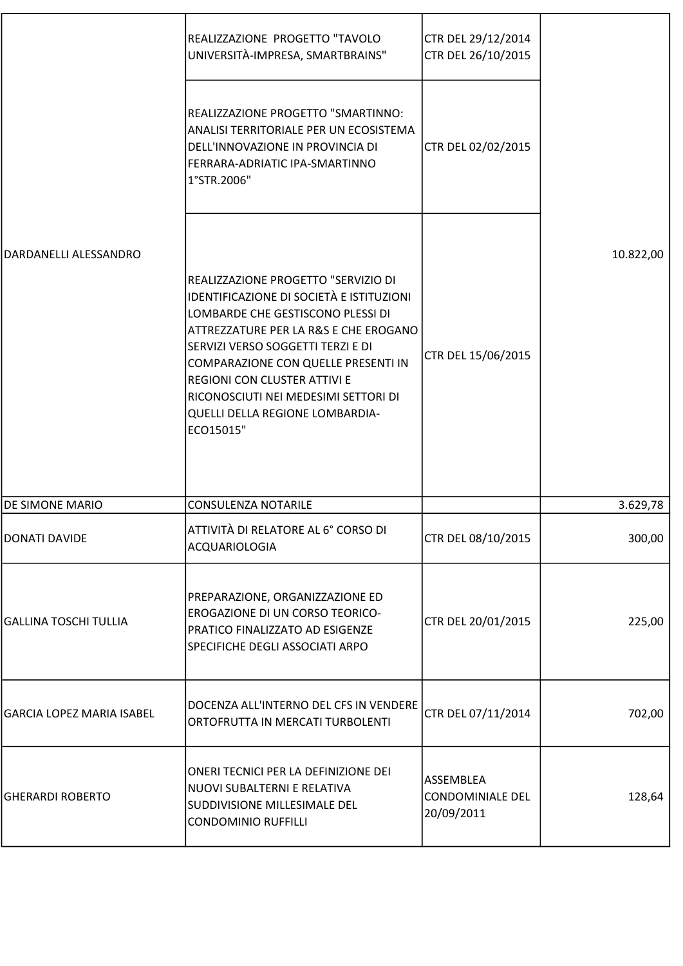|                                  | REALIZZAZIONE PROGETTO "TAVOLO<br>UNIVERSITÀ-IMPRESA, SMARTBRAINS"                                                                                                                                                                                                                                                                                                       | CTR DEL 29/12/2014<br>CTR DEL 26/10/2015           |           |
|----------------------------------|--------------------------------------------------------------------------------------------------------------------------------------------------------------------------------------------------------------------------------------------------------------------------------------------------------------------------------------------------------------------------|----------------------------------------------------|-----------|
|                                  | REALIZZAZIONE PROGETTO "SMARTINNO:<br>ANALISI TERRITORIALE PER UN ECOSISTEMA<br>DELL'INNOVAZIONE IN PROVINCIA DI<br>FERRARA-ADRIATIC IPA-SMARTINNO<br>1°STR.2006"                                                                                                                                                                                                        | CTR DEL 02/02/2015                                 |           |
| DARDANELLI ALESSANDRO            | REALIZZAZIONE PROGETTO "SERVIZIO DI<br>IDENTIFICAZIONE DI SOCIETÀ E ISTITUZIONI<br>LOMBARDE CHE GESTISCONO PLESSI DI<br>ATTREZZATURE PER LA R&S E CHE EROGANO<br>SERVIZI VERSO SOGGETTI TERZI E DI<br>COMPARAZIONE CON QUELLE PRESENTI IN<br><b>REGIONI CON CLUSTER ATTIVI E</b><br>RICONOSCIUTI NEI MEDESIMI SETTORI DI<br>QUELLI DELLA REGIONE LOMBARDIA-<br>ECO15015" | CTR DEL 15/06/2015                                 | 10.822,00 |
| <b>DE SIMONE MARIO</b>           | <b>CONSULENZA NOTARILE</b>                                                                                                                                                                                                                                                                                                                                               |                                                    | 3.629,78  |
| <b>DONATI DAVIDE</b>             | ATTIVITÀ DI RELATORE AL 6° CORSO DI<br>ACQUARIOLOGIA                                                                                                                                                                                                                                                                                                                     | CTR DEL 08/10/2015                                 | 300,00    |
| <b>GALLINA TOSCHI TULLIA</b>     | PREPARAZIONE, ORGANIZZAZIONE ED<br>EROGAZIONE DI UN CORSO TEORICO-<br>PRATICO FINALIZZATO AD ESIGENZE<br>SPECIFICHE DEGLI ASSOCIATI ARPO                                                                                                                                                                                                                                 | CTR DEL 20/01/2015                                 | 225,00    |
| <b>GARCIA LOPEZ MARIA ISABEL</b> | DOCENZA ALL'INTERNO DEL CFS IN VENDERE<br>ORTOFRUTTA IN MERCATI TURBOLENTI                                                                                                                                                                                                                                                                                               | CTR DEL 07/11/2014                                 | 702,00    |
| <b>GHERARDI ROBERTO</b>          | ONERI TECNICI PER LA DEFINIZIONE DEI<br>NUOVI SUBALTERNI E RELATIVA<br>SUDDIVISIONE MILLESIMALE DEL<br><b>CONDOMINIO RUFFILLI</b>                                                                                                                                                                                                                                        | ASSEMBLEA<br><b>CONDOMINIALE DEL</b><br>20/09/2011 | 128,64    |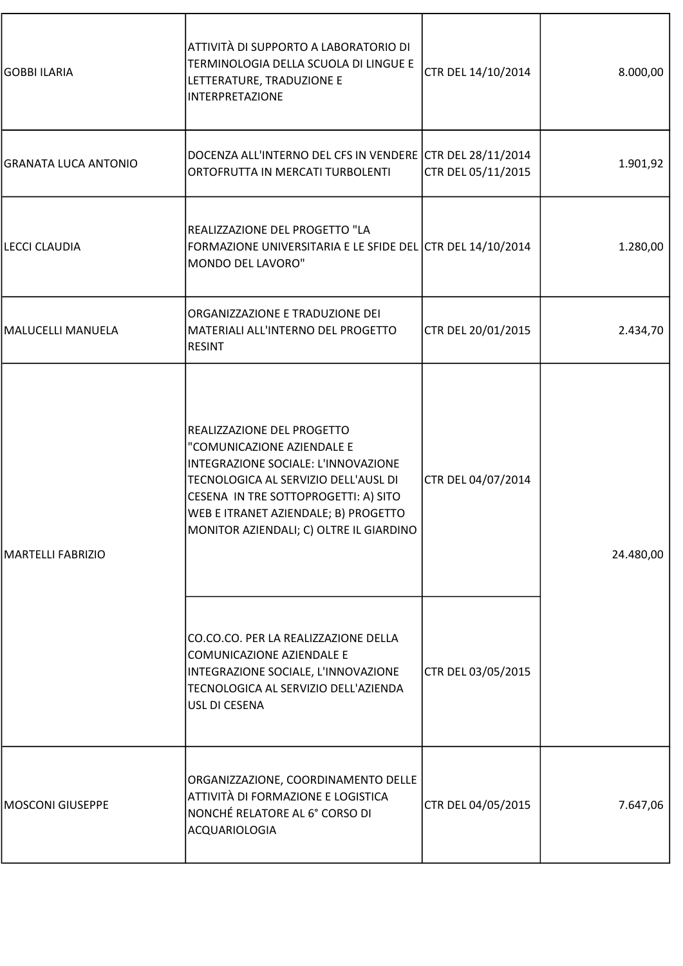| <b>GOBBI ILARIA</b>  | ATTIVITÀ DI SUPPORTO A LABORATORIO DI<br>TERMINOLOGIA DELLA SCUOLA DI LINGUE E<br>LETTERATURE, TRADUZIONE E<br><b>INTERPRETAZIONE</b>                                                                                                                              | CTR DEL 14/10/2014 | 8.000,00  |
|----------------------|--------------------------------------------------------------------------------------------------------------------------------------------------------------------------------------------------------------------------------------------------------------------|--------------------|-----------|
| GRANATA LUCA ANTONIO | DOCENZA ALL'INTERNO DEL CFS IN VENDERE CTR DEL 28/11/2014<br>ORTOFRUTTA IN MERCATI TURBOLENTI                                                                                                                                                                      | CTR DEL 05/11/2015 | 1.901,92  |
| LECCI CLAUDIA        | REALIZZAZIONE DEL PROGETTO "LA<br>FORMAZIONE UNIVERSITARIA E LE SFIDE DEL CTR DEL 14/10/2014<br>MONDO DEL LAVORO"                                                                                                                                                  |                    | 1.280,00  |
| MALUCELLI MANUELA    | ORGANIZZAZIONE E TRADUZIONE DEI<br>MATERIALI ALL'INTERNO DEL PROGETTO<br><b>RESINT</b>                                                                                                                                                                             | CTR DEL 20/01/2015 | 2.434,70  |
| MARTELLI FABRIZIO    | REALIZZAZIONE DEL PROGETTO<br>"COMUNICAZIONE AZIENDALE E<br>INTEGRAZIONE SOCIALE: L'INNOVAZIONE<br>TECNOLOGICA AL SERVIZIO DELL'AUSL DI<br>CESENA IN TRE SOTTOPROGETTI: A) SITO<br>WEB E ITRANET AZIENDALE; B) PROGETTO<br>MONITOR AZIENDALI; C) OLTRE IL GIARDINO | CTR DEL 04/07/2014 | 24.480,00 |
|                      | CO.CO.CO. PER LA REALIZZAZIONE DELLA<br>COMUNICAZIONE AZIENDALE E<br>INTEGRAZIONE SOCIALE, L'INNOVAZIONE<br>TECNOLOGICA AL SERVIZIO DELL'AZIENDA<br>USL DI CESENA                                                                                                  | CTR DEL 03/05/2015 |           |
| MOSCONI GIUSEPPE     | ORGANIZZAZIONE, COORDINAMENTO DELLE<br>ATTIVITÀ DI FORMAZIONE E LOGISTICA<br>NONCHÉ RELATORE AL 6° CORSO DI<br>ACQUARIOLOGIA                                                                                                                                       | CTR DEL 04/05/2015 | 7.647,06  |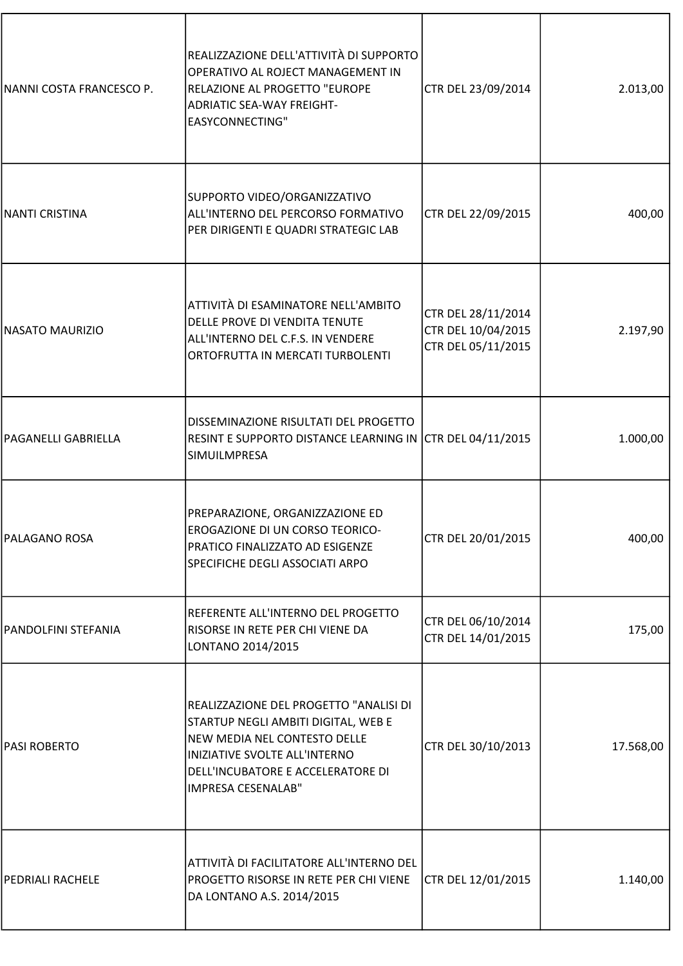| NANNI COSTA FRANCESCO P.   | REALIZZAZIONE DELL'ATTIVITÀ DI SUPPORTO<br>OPERATIVO AL ROJECT MANAGEMENT IN<br>RELAZIONE AL PROGETTO "EUROPE<br><b>ADRIATIC SEA-WAY FREIGHT-</b><br><b>EASYCONNECTING"</b>                               | CTR DEL 23/09/2014                                             | 2.013,00  |
|----------------------------|-----------------------------------------------------------------------------------------------------------------------------------------------------------------------------------------------------------|----------------------------------------------------------------|-----------|
| <b>NANTI CRISTINA</b>      | SUPPORTO VIDEO/ORGANIZZATIVO<br>ALL'INTERNO DEL PERCORSO FORMATIVO<br>PER DIRIGENTI E QUADRI STRATEGIC LAB                                                                                                | CTR DEL 22/09/2015                                             | 400,00    |
| <b>NASATO MAURIZIO</b>     | ATTIVITÀ DI ESAMINATORE NELL'AMBITO<br>DELLE PROVE DI VENDITA TENUTE<br>ALL'INTERNO DEL C.F.S. IN VENDERE<br>ORTOFRUTTA IN MERCATI TURBOLENTI                                                             | CTR DEL 28/11/2014<br>CTR DEL 10/04/2015<br>CTR DEL 05/11/2015 | 2.197,90  |
| <b>PAGANELLI GABRIELLA</b> | DISSEMINAZIONE RISULTATI DEL PROGETTO<br>RESINT E SUPPORTO DISTANCE LEARNING IN CTR DEL 04/11/2015<br>SIMUILMPRESA                                                                                        |                                                                | 1.000,00  |
| <b>PALAGANO ROSA</b>       | PREPARAZIONE, ORGANIZZAZIONE ED<br>EROGAZIONE DI UN CORSO TEORICO-<br>PRATICO FINALIZZATO AD ESIGENZE<br>SPECIFICHE DEGLI ASSOCIATI ARPO                                                                  | CTR DEL 20/01/2015                                             | 400,00    |
| PANDOLFINI STEFANIA        | REFERENTE ALL'INTERNO DEL PROGETTO<br>RISORSE IN RETE PER CHI VIENE DA<br>LONTANO 2014/2015                                                                                                               | CTR DEL 06/10/2014<br>CTR DEL 14/01/2015                       | 175,00    |
| PASI ROBERTO               | REALIZZAZIONE DEL PROGETTO "ANALISI DI<br>STARTUP NEGLI AMBITI DIGITAL, WEB E<br>NEW MEDIA NEL CONTESTO DELLE<br>INIZIATIVE SVOLTE ALL'INTERNO<br>DELL'INCUBATORE E ACCELERATORE DI<br>IMPRESA CESENALAB" | CTR DEL 30/10/2013                                             | 17.568,00 |
| <b>PEDRIALI RACHELE</b>    | ATTIVITÀ DI FACILITATORE ALL'INTERNO DEL<br>PROGETTO RISORSE IN RETE PER CHI VIENE<br>DA LONTANO A.S. 2014/2015                                                                                           | CTR DEL 12/01/2015                                             | 1.140,00  |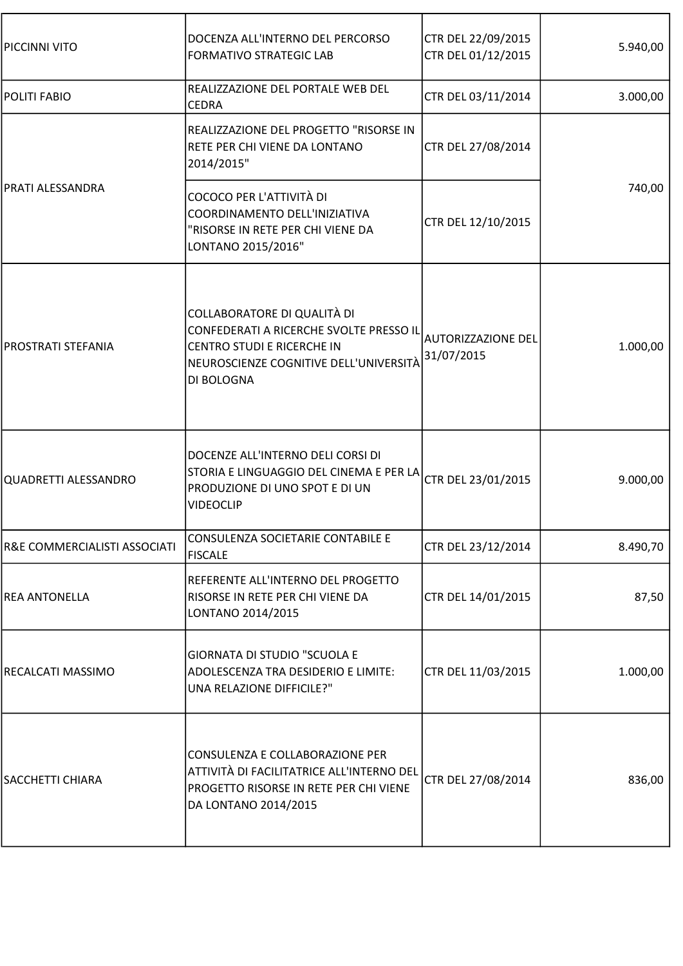| PICCINNI VITO                | DOCENZA ALL'INTERNO DEL PERCORSO<br><b>FORMATIVO STRATEGIC LAB</b>                                                                                           | CTR DEL 22/09/2015<br>CTR DEL 01/12/2015 | 5.940,00 |
|------------------------------|--------------------------------------------------------------------------------------------------------------------------------------------------------------|------------------------------------------|----------|
| POLITI FABIO                 | REALIZZAZIONE DEL PORTALE WEB DEL<br><b>CEDRA</b>                                                                                                            | CTR DEL 03/11/2014                       | 3.000,00 |
|                              | REALIZZAZIONE DEL PROGETTO "RISORSE IN<br>RETE PER CHI VIENE DA LONTANO<br>2014/2015"                                                                        | CTR DEL 27/08/2014                       |          |
| PRATI ALESSANDRA             | COCOCO PER L'ATTIVITÀ DI<br>COORDINAMENTO DELL'INIZIATIVA<br>"RISORSE IN RETE PER CHI VIENE DA<br>LONTANO 2015/2016"                                         | CTR DEL 12/10/2015                       | 740,00   |
| PROSTRATI STEFANIA           | COLLABORATORE DI QUALITÀ DI<br>CONFEDERATI A RICERCHE SVOLTE PRESSO IL<br>CENTRO STUDI E RICERCHE IN<br>NEUROSCIENZE COGNITIVE DELL'UNIVERSITÀ<br>DI BOLOGNA | <b>AUTORIZZAZIONE DEL</b><br>31/07/2015  | 1.000,00 |
| QUADRETTI ALESSANDRO         | DOCENZE ALL'INTERNO DELI CORSI DI<br>STORIA E LINGUAGGIO DEL CINEMA E PER LA<br>PRODUZIONE DI UNO SPOT E DI UN<br><b>VIDEOCLIP</b>                           | CTR DEL 23/01/2015                       | 9.000,00 |
| R&E COMMERCIALISTI ASSOCIATI | CONSULENZA SOCIETARIE CONTABILE E<br><b>FISCALE</b>                                                                                                          | CTR DEL 23/12/2014                       | 8.490,70 |
| <b>REA ANTONELLA</b>         | REFERENTE ALL'INTERNO DEL PROGETTO<br>RISORSE IN RETE PER CHI VIENE DA<br>LONTANO 2014/2015                                                                  | CTR DEL 14/01/2015                       | 87,50    |
| RECALCATI MASSIMO            | <b>GIORNATA DI STUDIO "SCUOLA E</b><br>ADOLESCENZA TRA DESIDERIO E LIMITE:<br>UNA RELAZIONE DIFFICILE?"                                                      | CTR DEL 11/03/2015                       | 1.000,00 |
| SACCHETTI CHIARA             | CONSULENZA E COLLABORAZIONE PER<br>ATTIVITÀ DI FACILITATRICE ALL'INTERNO DEL<br>PROGETTO RISORSE IN RETE PER CHI VIENE<br>DA LONTANO 2014/2015               | CTR DEL 27/08/2014                       | 836,00   |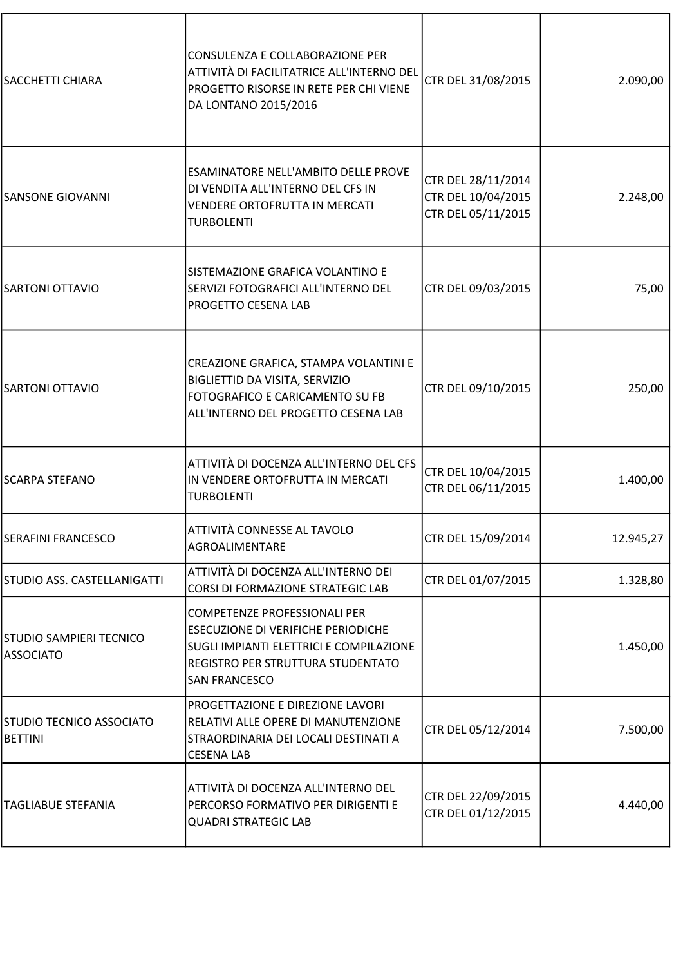| <b>SACCHETTI CHIARA</b>                     | CONSULENZA E COLLABORAZIONE PER<br>ATTIVITÀ DI FACILITATRICE ALL'INTERNO DEL<br>PROGETTO RISORSE IN RETE PER CHI VIENE<br>DA LONTANO 2015/2016                                    | CTR DEL 31/08/2015                                             | 2.090,00  |
|---------------------------------------------|-----------------------------------------------------------------------------------------------------------------------------------------------------------------------------------|----------------------------------------------------------------|-----------|
| <b>SANSONE GIOVANNI</b>                     | ESAMINATORE NELL'AMBITO DELLE PROVE<br>DI VENDITA ALL'INTERNO DEL CFS IN<br>VENDERE ORTOFRUTTA IN MERCATI<br><b>TURBOLENTI</b>                                                    | CTR DEL 28/11/2014<br>CTR DEL 10/04/2015<br>CTR DEL 05/11/2015 | 2.248,00  |
| <b>SARTONI OTTAVIO</b>                      | SISTEMAZIONE GRAFICA VOLANTINO E<br>SERVIZI FOTOGRAFICI ALL'INTERNO DEL<br>PROGETTO CESENA LAB                                                                                    | CTR DEL 09/03/2015                                             | 75,00     |
| <b>SARTONI OTTAVIO</b>                      | CREAZIONE GRAFICA, STAMPA VOLANTINI E<br>BIGLIETTID DA VISITA, SERVIZIO<br>FOTOGRAFICO E CARICAMENTO SU FB<br>ALL'INTERNO DEL PROGETTO CESENA LAB                                 | CTR DEL 09/10/2015                                             | 250,00    |
| <b>SCARPA STEFANO</b>                       | ATTIVITÀ DI DOCENZA ALL'INTERNO DEL CFS<br>IN VENDERE ORTOFRUTTA IN MERCATI<br><b>TURBOLENTI</b>                                                                                  | CTR DEL 10/04/2015<br>CTR DEL 06/11/2015                       | 1.400,00  |
| <b>SERAFINI FRANCESCO</b>                   | ATTIVITÀ CONNESSE AL TAVOLO<br>AGROALIMENTARE                                                                                                                                     | CTR DEL 15/09/2014                                             | 12.945,27 |
| STUDIO ASS. CASTELLANIGATTI                 | ATTIVITÀ DI DOCENZA ALL'INTERNO DEI<br>CORSI DI FORMAZIONE STRATEGIC LAB                                                                                                          | CTR DEL 01/07/2015                                             | 1.328,80  |
| STUDIO SAMPIERI TECNICO<br><b>ASSOCIATO</b> | <b>COMPETENZE PROFESSIONALI PER</b><br>ESECUZIONE DI VERIFICHE PERIODICHE<br>SUGLI IMPIANTI ELETTRICI E COMPILAZIONE<br>REGISTRO PER STRUTTURA STUDENTATO<br><b>SAN FRANCESCO</b> |                                                                | 1.450,00  |
| STUDIO TECNICO ASSOCIATO<br><b>BETTINI</b>  | PROGETTAZIONE E DIREZIONE LAVORI<br>RELATIVI ALLE OPERE DI MANUTENZIONE<br>STRAORDINARIA DEI LOCALI DESTINATI A<br><b>CESENA LAB</b>                                              | CTR DEL 05/12/2014                                             | 7.500,00  |
| <b>TAGLIABUE STEFANIA</b>                   | ATTIVITÀ DI DOCENZA ALL'INTERNO DEL<br>PERCORSO FORMATIVO PER DIRIGENTI E<br><b>QUADRI STRATEGIC LAB</b>                                                                          | CTR DEL 22/09/2015<br>CTR DEL 01/12/2015                       | 4.440,00  |